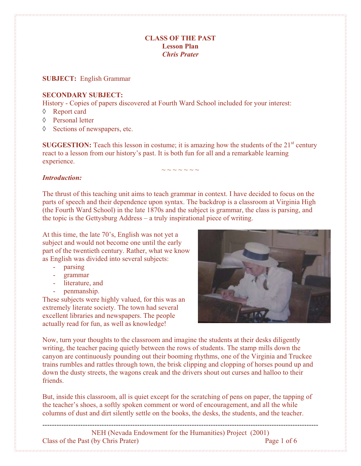### **CLASS OF THE PAST Lesson Plan**  *Chris Prater*

#### **SUBJECT:** English Grammar

#### **SECONDARY SUBJECT:**

History - Copies of papers discovered at Fourth Ward School included for your interest:

- $\Diamond$  Report card
- ♦ Personal letter
- $\Diamond$  Sections of newspapers, etc.

**SUGGESTION:** Teach this lesson in costume; it is amazing how the students of the  $21<sup>st</sup>$  century react to a lesson from our history's past. It is both fun for all and a remarkable learning experience.

 $\sim$  ~ ~ ~ ~ ~

#### *Introduction:*

The thrust of this teaching unit aims to teach grammar in context. I have decided to focus on the parts of speech and their dependence upon syntax. The backdrop is a classroom at Virginia High (the Fourth Ward School) in the late 1870s and the subject is grammar, the class is parsing, and the topic is the Gettysburg Address – a truly inspirational piece of writing.

At this time, the late 70's, English was not yet a subject and would not become one until the early part of the twentieth century. Rather, what we know as English was divided into several subjects:

- parsing
- grammar
- literature, and
- penmanship.

These subjects were highly valued, for this was an extremely literate society. The town had several excellent libraries and newspapers. The people actually read for fun, as well as knowledge!



Now, turn your thoughts to the classroom and imagine the students at their desks diligently writing, the teacher pacing quietly between the rows of students. The stamp mills down the canyon are continuously pounding out their booming rhythms, one of the Virginia and Truckee trains rumbles and rattles through town, the brisk clipping and clopping of horses pound up and down the dusty streets, the wagons creak and the drivers shout out curses and halloo to their friends.

But, inside this classroom, all is quiet except for the scratching of pens on paper, the tapping of the teacher's shoes, a softly spoken comment or word of encouragement, and all the while columns of dust and dirt silently settle on the books, the desks, the students, and the teacher.

---------------------------------------------------------------------------------------------------------------------

NEH (Nevada Endowment for the Humanities) Project (2001) Class of the Past (by Chris Prater) Page 1 of 6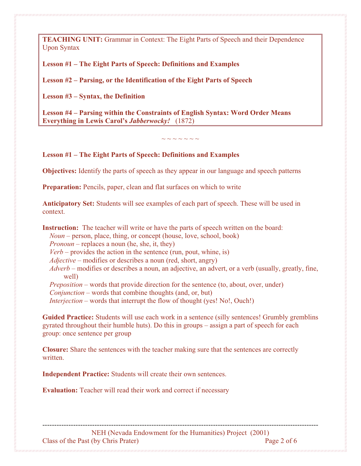**TEACHING UNIT:** Grammar in Context: The Eight Parts of Speech and their Dependence Upon Syntax

**Lesson #1 – The Eight Parts of Speech: Definitions and Examples** 

**Lesson #2 – Parsing, or the Identification of the Eight Parts of Speech** 

**Lesson #3 – Syntax, the Definition** 

**Lesson #4 – Parsing within the Constraints of English Syntax: Word Order Means Everything in Lewis Carol's** *Jabberwocky!* (1872)

 $\sim$   $\sim$   $\sim$   $\sim$   $\sim$   $\sim$ 

**Lesson #1 – The Eight Parts of Speech: Definitions and Examples** 

**Objectives:** Identify the parts of speech as they appear in our language and speech patterns

**Preparation:** Pencils, paper, clean and flat surfaces on which to write

**Anticipatory Set:** Students will see examples of each part of speech. These will be used in context.

**Instruction:** The teacher will write or have the parts of speech written on the board: *Noun* – person, place, thing, or concept (house, love, school, book) *Pronoun* – replaces a noun (he, she, it, they)  $Verb$  – provides the action in the sentence (run, pout, whine, is) *Adjective* – modifies or describes a noun (red, short, angry) *Adverb* – modifies or describes a noun, an adjective, an advert, or a verb (usually, greatly, fine, well) *Preposition* – words that provide direction for the sentence (to, about, over, under) *Conjunction* – words that combine thoughts (and, or, but) *Interjection* – words that interrupt the flow of thought (yes! No!, Ouch!)

**Guided Practice:** Students will use each work in a sentence (silly sentences! Grumbly gremblins gyrated throughout their humble huts). Do this in groups – assign a part of speech for each group: once sentence per group

**Closure:** Share the sentences with the teacher making sure that the sentences are correctly written.

**Independent Practice:** Students will create their own sentences.

**Evaluation:** Teacher will read their work and correct if necessary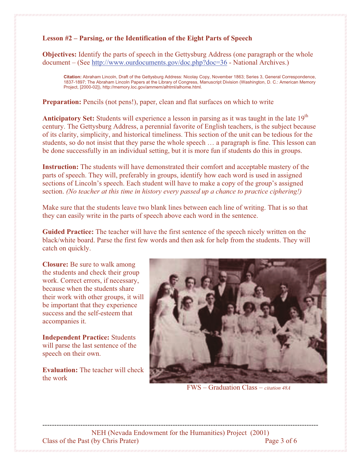# **Lesson #2 – Parsing, or the Identification of the Eight Parts of Speech**

**Objectives:** Identify the parts of speech in the Gettysburg Address (one paragraph or the whole document – (See http://www.ourdocuments.gov/doc.php?doc=36 - National Archives.)

**Citation:** Abraham Lincoln, Draft of the Gettysburg Address: Nicolay Copy, November 1863; Series 3, General Correspondence, 1837-1897; The Abraham Lincoln Papers at the Library of Congress, Manuscript Division (Washington, D. C.: American Memory Project, [2000-02]), http://memory.loc.gov/ammem/alhtml/alhome.html.

**Preparation:** Pencils (not pens!), paper, clean and flat surfaces on which to write

Anticipatory Set: Students will experience a lesson in parsing as it was taught in the late 19<sup>th</sup> century. The Gettysburg Address, a perennial favorite of English teachers, is the subject because of its clarity, simplicity, and historical timeliness. This section of the unit can be tedious for the students, so do not insist that they parse the whole speech … a paragraph is fine. This lesson can be done successfully in an individual setting, but it is more fun if students do this in groups.

**Instruction:** The students will have demonstrated their comfort and acceptable mastery of the parts of speech. They will, preferably in groups, identify how each word is used in assigned sections of Lincoln's speech. Each student will have to make a copy of the group's assigned section. *(No teacher at this time in history every passed up a chance to practice ciphering!)*

Make sure that the students leave two blank lines between each line of writing. That is so that they can easily write in the parts of speech above each word in the sentence.

**Guided Practice:** The teacher will have the first sentence of the speech nicely written on the black/white board. Parse the first few words and then ask for help from the students. They will catch on quickly.

**Closure:** Be sure to walk among the students and check their group work. Correct errors, if necessary, because when the students share their work with other groups, it will be important that they experience success and the self-esteem that accompanies it.

**Independent Practice:** Students will parse the last sentence of the speech on their own.

**Evaluation:** The teacher will check the work



FWS – Graduation Class – *citation 48A*

--------------------------------------------------------------------------------------------------------------------- NEH (Nevada Endowment for the Humanities) Project (2001) Class of the Past (by Chris Prater) Page 3 of 6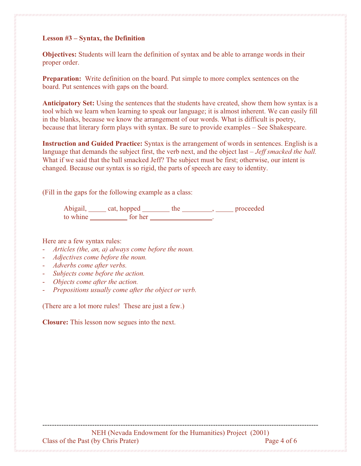### **Lesson #3 – Syntax, the Definition**

**Objectives:** Students will learn the definition of syntax and be able to arrange words in their proper order.

**Preparation:** Write definition on the board. Put simple to more complex sentences on the board. Put sentences with gaps on the board.

**Anticipatory Set:** Using the sentences that the students have created, show them how syntax is a tool which we learn when learning to speak our language; it is almost inherent. We can easily fill in the blanks, because we know the arrangement of our words. What is difficult is poetry, because that literary form plays with syntax. Be sure to provide examples – See Shakespeare.

**Instruction and Guided Practice:** Syntax is the arrangement of words in sentences. English is a language that demands the subject first, the verb next, and the object last – *Jeff smacked the ball.* What if we said that the ball smacked Jeff? The subject must be first; otherwise, our intent is changed. Because our syntax is so rigid, the parts of speech are easy to identity.

(Fill in the gaps for the following example as a class:

Abigail, cat, hopped the head and proceeded to whine for her .

## Here are a few syntax rules:

- *Articles (the, an, a) always come before the noun.*
- *Adjectives come before the noun.*
- *Adverbs come after verbs.*
- *Subjects come before the action.*
- *Objects come after the action.*
- *Prepositions usually come after the object or verb.*

(There are a lot more rules! These are just a few.)

**Closure:** This lesson now segues into the next.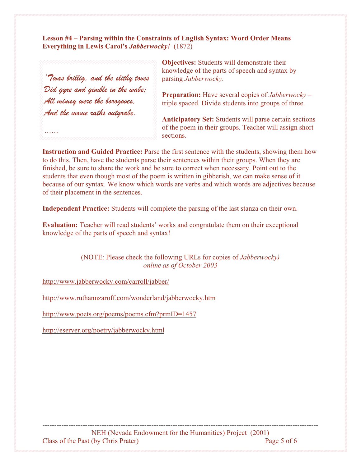**Lesson #4 – Parsing within the Constraints of English Syntax: Word Order Means Everything in Lewis Carol's** *Jabberwocky!* (1872)

'Twas brillig, and the slithy toves Did gyre and gimble in the wabe; All mimsy were the borogoves, And the mome raths outgrabe.

……

**Objectives:** Students will demonstrate their knowledge of the parts of speech and syntax by parsing *Jabberwocky*.

**Preparation:** Have several copies of *Jabberwocky* – triple spaced. Divide students into groups of three.

**Anticipatory Set:** Students will parse certain sections of the poem in their groups. Teacher will assign short sections.

**Instruction and Guided Practice:** Parse the first sentence with the students, showing them how to do this. Then, have the students parse their sentences within their groups. When they are finished, be sure to share the work and be sure to correct when necessary. Point out to the students that even though most of the poem is written in gibberish, we can make sense of it because of our syntax. We know which words are verbs and which words are adjectives because of their placement in the sentences.

**Independent Practice:** Students will complete the parsing of the last stanza on their own.

**Evaluation:** Teacher will read students' works and congratulate them on their exceptional knowledge of the parts of speech and syntax!

> (NOTE: Please check the following URLs for copies of *Jabberwocky) online as of October 2003*

http://www.jabberwocky.com/carroll/jabber/

http://www.ruthannzaroff.com/wonderland/jabberwocky.htm

http://www.poets.org/poems/poems.cfm?prmID=1457

http://eserver.org/poetry/jabberwocky.html